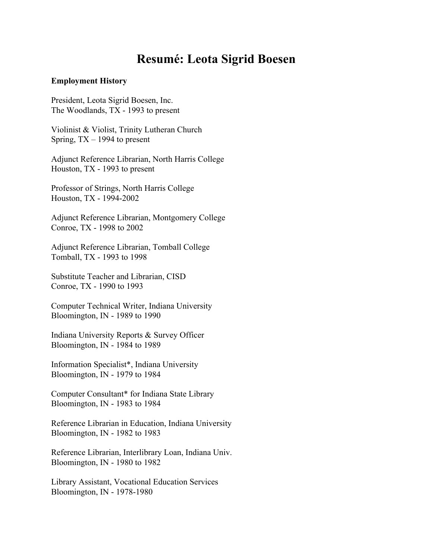# **Resumé: Leota Sigrid Boesen**

#### **Employment History**

President, Leota Sigrid Boesen, Inc. The Woodlands, TX - 1993 to present

Violinist & Violist, Trinity Lutheran Church Spring, TX – 1994 to present

Adjunct Reference Librarian, North Harris College Houston, TX - 1993 to present

Professor of Strings, North Harris College Houston, TX - 1994-2002

Adjunct Reference Librarian, Montgomery College Conroe, TX - 1998 to 2002

Adjunct Reference Librarian, Tomball College Tomball, TX - 1993 to 1998

Substitute Teacher and Librarian, CISD Conroe, TX - 1990 to 1993

Computer Technical Writer, Indiana University Bloomington, IN - 1989 to 1990

Indiana University Reports & Survey Officer Bloomington, IN - 1984 to 1989

Information Specialist\*, Indiana University Bloomington, IN - 1979 to 1984

Computer Consultant\* for Indiana State Library Bloomington, IN - 1983 to 1984

Reference Librarian in Education, Indiana University Bloomington, IN - 1982 to 1983

Reference Librarian, Interlibrary Loan, Indiana Univ. Bloomington, IN - 1980 to 1982

Library Assistant, Vocational Education Services Bloomington, IN - 1978-1980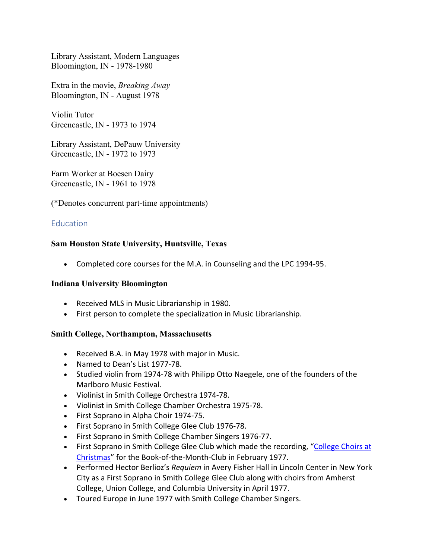Library Assistant, Modern Languages Bloomington, IN - 1978-1980

Extra in the movie, *Breaking Away* Bloomington, IN - August 1978

Violin Tutor Greencastle, IN - 1973 to 1974

Library Assistant, DePauw University Greencastle, IN - 1972 to 1973

Farm Worker at Boesen Dairy Greencastle, IN - 1961 to 1978

(\*Denotes concurrent part-time appointments)

#### **Education**

#### **Sam Houston State University, Huntsville, Texas**

• Completed core courses for the M.A. in Counseling and the LPC 1994-95.

#### **Indiana University Bloomington**

- Received MLS in Music Librarianship in 1980.
- First person to complete the specialization in Music Librarianship.

#### **Smith College, Northampton, Massachusetts**

- Received B.A. in May 1978 with major in Music.
- Named to Dean's List 1977-78.
- Studied violin from 1974-78 with Philipp Otto Naegele, one of the founders of the Marlboro Music Festival.
- Violinist in Smith College Orchestra 1974-78.
- Violinist in Smith College Chamber Orchestra 1975-78.
- First Soprano in Alpha Choir 1974-75.
- First Soprano in Smith College Glee Club 1976-78.
- First Soprano in Smith College Chamber Singers 1976-77.
- First Soprano in Smith College Glee Club which made the recording, "College Choirs at Christmas" for the Book-of-the-Month-Club in February 1977.
- Performed Hector Berlioz's *Requiem* in Avery Fisher Hall in Lincoln Center in New York City as a First Soprano in Smith College Glee Club along with choirs from Amherst College, Union College, and Columbia University in April 1977.
- Toured Europe in June 1977 with Smith College Chamber Singers.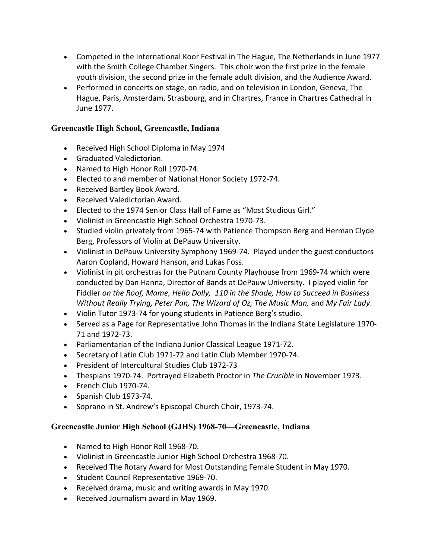- Competed in the International Koor Festival in The Hague, The Netherlands in June 1977 with the Smith College Chamber Singers. This choir won the first prize in the female youth division, the second prize in the female adult division, and the Audience Award.
- Performed in concerts on stage, on radio, and on television in London, Geneva, The Hague, Paris, Amsterdam, Strasbourg, and in Chartres, France in Chartres Cathedral in June 1977.

#### **Greencastle High School, Greencastle, Indiana**

- Received High School Diploma in May 1974
- Graduated Valedictorian.
- Named to High Honor Roll 1970-74.
- Elected to and member of National Honor Society 1972-74.
- Received Bartley Book Award.
- Received Valedictorian Award.
- Elected to the 1974 Senior Class Hall of Fame as "Most Studious Girl."
- Violinist in Greencastle High School Orchestra 1970-73.
- Studied violin privately from 1965-74 with Patience Thompson Berg and Herman Clyde Berg, Professors of Violin at DePauw University.
- Violinist in DePauw University Symphony 1969-74. Played under the guest conductors Aaron Copland, Howard Hanson, and Lukas Foss.
- Violinist in pit orchestras for the Putnam County Playhouse from 1969-74 which were conducted by Dan Hanna, Director of Bands at DePauw University. I played violin for Fiddler *on the Roof, Mame, Hello Dolly, 110 in the Shade, How to Succeed in Business Without Really Trying, Peter Pan, The Wizard of Oz, The Music Man,* and *My Fair Lady*.
- Violin Tutor 1973-74 for young students in Patience Berg's studio.
- Served as a Page for Representative John Thomas in the Indiana State Legislature 1970- 71 and 1972-73.
- Parliamentarian of the Indiana Junior Classical League 1971-72.
- Secretary of Latin Club 1971-72 and Latin Club Member 1970-74.
- President of Intercultural Studies Club 1972-73
- Thespians 1970-74. Portrayed Elizabeth Proctor in *The Crucible* in November 1973.
- French Club 1970-74.
- Spanish Club 1973-74.
- Soprano in St. Andrew's Episcopal Church Choir, 1973-74.

#### **Greencastle Junior High School (GJHS) 1968-70—Greencastle, Indiana**

- Named to High Honor Roll 1968-70.
- Violinist in Greencastle Junior High School Orchestra 1968-70.
- Received The Rotary Award for Most Outstanding Female Student in May 1970.
- Student Council Representative 1969-70.
- Received drama, music and writing awards in May 1970.
- Received Journalism award in May 1969.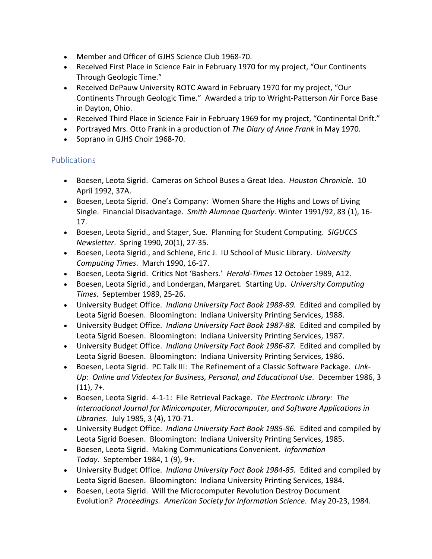- Member and Officer of GJHS Science Club 1968-70.
- Received First Place in Science Fair in February 1970 for my project, "Our Continents Through Geologic Time."
- Received DePauw University ROTC Award in February 1970 for my project, "Our Continents Through Geologic Time." Awarded a trip to Wright-Patterson Air Force Base in Dayton, Ohio.
- Received Third Place in Science Fair in February 1969 for my project, "Continental Drift."
- Portrayed Mrs. Otto Frank in a production of *The Diary of Anne Frank* in May 1970.
- Soprano in GJHS Choir 1968-70.

## Publications

- Boesen, Leota Sigrid. Cameras on School Buses a Great Idea. *Houston Chronicle*. 10 April 1992, 37A.
- Boesen, Leota Sigrid. One's Company: Women Share the Highs and Lows of Living Single. Financial Disadvantage. *Smith Alumnae Quarterly*. Winter 1991/92, 83 (1), 16- 17.
- Boesen, Leota Sigrid., and Stager, Sue. Planning for Student Computing. *SIGUCCS Newsletter*. Spring 1990, 20(1), 27-35.
- Boesen, Leota Sigrid., and Schlene, Eric J. IU School of Music Library. *University Computing Times*. March 1990, 16-17.
- Boesen, Leota Sigrid. Critics Not 'Bashers.' *Herald-Times* 12 October 1989, A12.
- Boesen, Leota Sigrid., and Londergan, Margaret. Starting Up. *University Computing Times*. September 1989, 25-26.
- University Budget Office. *Indiana University Fact Book 1988-89.* Edited and compiled by Leota Sigrid Boesen. Bloomington: Indiana University Printing Services, 1988.
- University Budget Office. *Indiana University Fact Book 1987-88.* Edited and compiled by Leota Sigrid Boesen. Bloomington: Indiana University Printing Services, 1987.
- University Budget Office. *Indiana University Fact Book 1986-87.* Edited and compiled by Leota Sigrid Boesen. Bloomington: Indiana University Printing Services, 1986.
- Boesen, Leota Sigrid. PC Talk III: The Refinement of a Classic Software Package. *Link-Up: Online and Videotex for Business, Personal, and Educational Use*. December 1986, 3  $(11)$ , 7+.
- Boesen, Leota Sigrid. 4-1-1: File Retrieval Package. *The Electronic Library: The International Journal for Minicomputer, Microcomputer, and Software Applications in Libraries*. July 1985, 3 (4), 170-71.
- University Budget Office. *Indiana University Fact Book 1985-86.* Edited and compiled by Leota Sigrid Boesen. Bloomington: Indiana University Printing Services, 1985.
- Boesen, Leota Sigrid. Making Communications Convenient. *Information Today*. September 1984, 1 (9), 9+.
- University Budget Office. *Indiana University Fact Book 1984-85.* Edited and compiled by Leota Sigrid Boesen. Bloomington: Indiana University Printing Services, 1984.
- Boesen, Leota Sigrid. Will the Microcomputer Revolution Destroy Document Evolution? *Proceedings. American Society for Information Science*. May 20-23, 1984.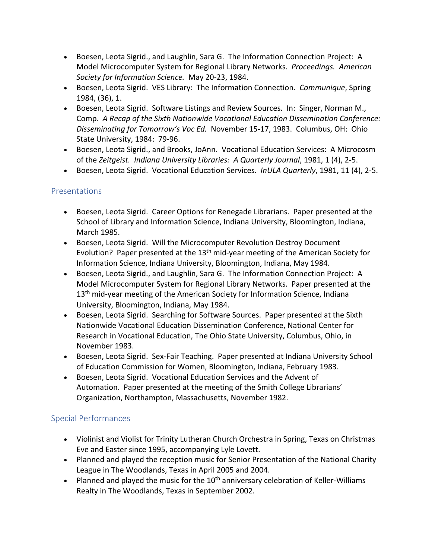- Boesen, Leota Sigrid., and Laughlin, Sara G. The Information Connection Project: A Model Microcomputer System for Regional Library Networks. *Proceedings. American Society for Information Science.* May 20-23, 1984.
- Boesen, Leota Sigrid. VES Library: The Information Connection. *Communique*, Spring 1984, (36), 1.
- Boesen, Leota Sigrid. Software Listings and Review Sources. In: Singer, Norman M., Comp. *A Recap of the Sixth Nationwide Vocational Education Dissemination Conference: Disseminating for Tomorrow's Voc Ed.* November 15-17, 1983. Columbus, OH: Ohio State University, 1984: 79-96.
- Boesen, Leota Sigrid., and Brooks, JoAnn. Vocational Education Services: A Microcosm of the *Zeitgeist. Indiana University Libraries: A Quarterly Journal*, 1981, 1 (4), 2-5.
- Boesen, Leota Sigrid. Vocational Education Services. *InULA Quarterly*, 1981, 11 (4), 2-5.

## Presentations

- Boesen, Leota Sigrid. Career Options for Renegade Librarians. Paper presented at the School of Library and Information Science, Indiana University, Bloomington, Indiana, March 1985.
- Boesen, Leota Sigrid. Will the Microcomputer Revolution Destroy Document Evolution? Paper presented at the  $13<sup>th</sup>$  mid-year meeting of the American Society for Information Science, Indiana University, Bloomington, Indiana, May 1984.
- Boesen, Leota Sigrid., and Laughlin, Sara G. The Information Connection Project: A Model Microcomputer System for Regional Library Networks. Paper presented at the 13<sup>th</sup> mid-year meeting of the American Society for Information Science, Indiana University, Bloomington, Indiana, May 1984.
- Boesen, Leota Sigrid. Searching for Software Sources. Paper presented at the Sixth Nationwide Vocational Education Dissemination Conference, National Center for Research in Vocational Education, The Ohio State University, Columbus, Ohio, in November 1983.
- Boesen, Leota Sigrid. Sex-Fair Teaching. Paper presented at Indiana University School of Education Commission for Women, Bloomington, Indiana, February 1983.
- Boesen, Leota Sigrid. Vocational Education Services and the Advent of Automation. Paper presented at the meeting of the Smith College Librarians' Organization, Northampton, Massachusetts, November 1982.

## Special Performances

- Violinist and Violist for Trinity Lutheran Church Orchestra in Spring, Texas on Christmas Eve and Easter since 1995, accompanying Lyle Lovett.
- Planned and played the reception music for Senior Presentation of the National Charity League in The Woodlands, Texas in April 2005 and 2004.
- Planned and played the music for the  $10<sup>th</sup>$  anniversary celebration of Keller-Williams Realty in The Woodlands, Texas in September 2002.